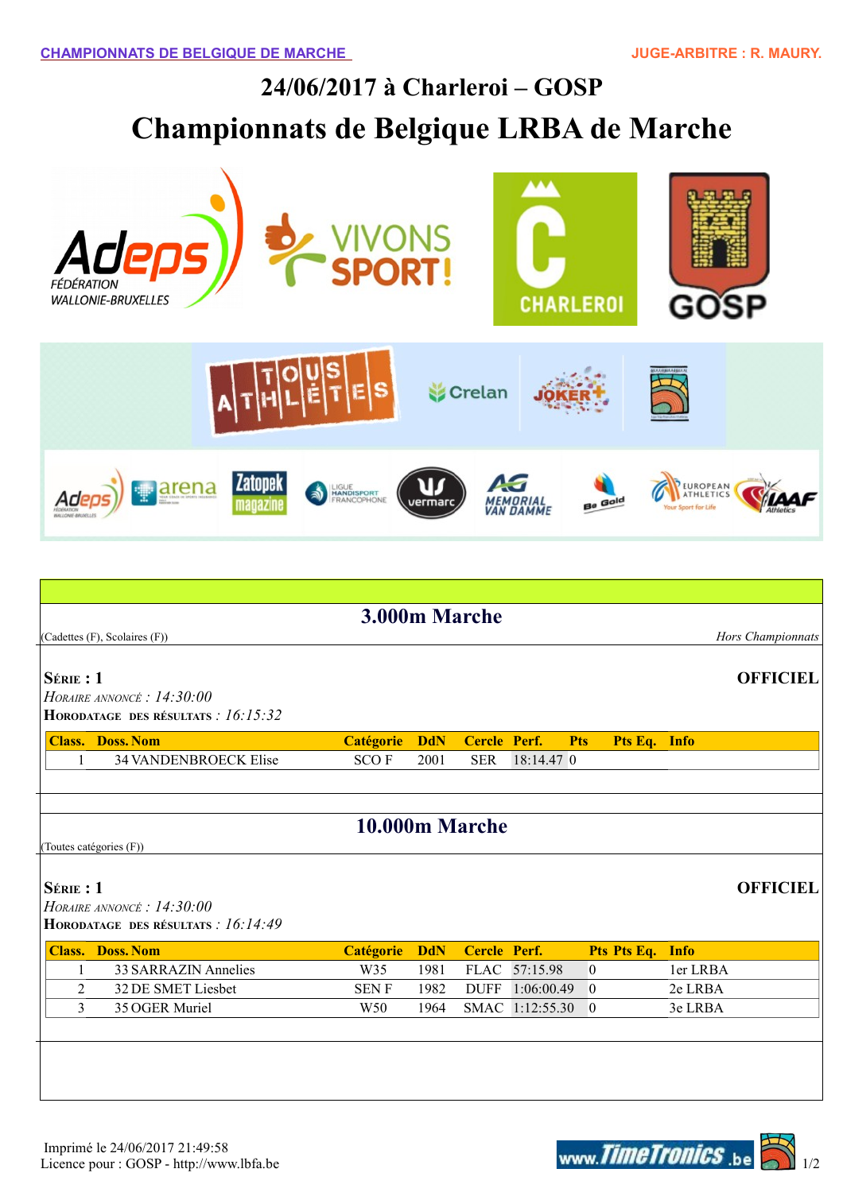## **24/06/2017 à Charleroi – GOSP Championnats de Belgique LRBA de Marche**



| 3.000m Marche                       |  |  |  |  |  |  |  |  |  |
|-------------------------------------|--|--|--|--|--|--|--|--|--|
| Hors Championnats                   |  |  |  |  |  |  |  |  |  |
|                                     |  |  |  |  |  |  |  |  |  |
| <b>OFFICIEL</b>                     |  |  |  |  |  |  |  |  |  |
|                                     |  |  |  |  |  |  |  |  |  |
|                                     |  |  |  |  |  |  |  |  |  |
| Pts Eq. Info                        |  |  |  |  |  |  |  |  |  |
|                                     |  |  |  |  |  |  |  |  |  |
|                                     |  |  |  |  |  |  |  |  |  |
|                                     |  |  |  |  |  |  |  |  |  |
| 10.000m Marche                      |  |  |  |  |  |  |  |  |  |
| (Toutes catégories (F))             |  |  |  |  |  |  |  |  |  |
|                                     |  |  |  |  |  |  |  |  |  |
| <b>OFFICIEL</b>                     |  |  |  |  |  |  |  |  |  |
| HORAIRE ANNONCÉ : $14:30:00$        |  |  |  |  |  |  |  |  |  |
| HORODATAGE DES RÉSULTATS : 16:14:49 |  |  |  |  |  |  |  |  |  |
| Info                                |  |  |  |  |  |  |  |  |  |
| ler LRBA                            |  |  |  |  |  |  |  |  |  |
| 2e LRBA                             |  |  |  |  |  |  |  |  |  |
| 3e LRBA                             |  |  |  |  |  |  |  |  |  |
|                                     |  |  |  |  |  |  |  |  |  |
|                                     |  |  |  |  |  |  |  |  |  |
|                                     |  |  |  |  |  |  |  |  |  |
|                                     |  |  |  |  |  |  |  |  |  |
|                                     |  |  |  |  |  |  |  |  |  |